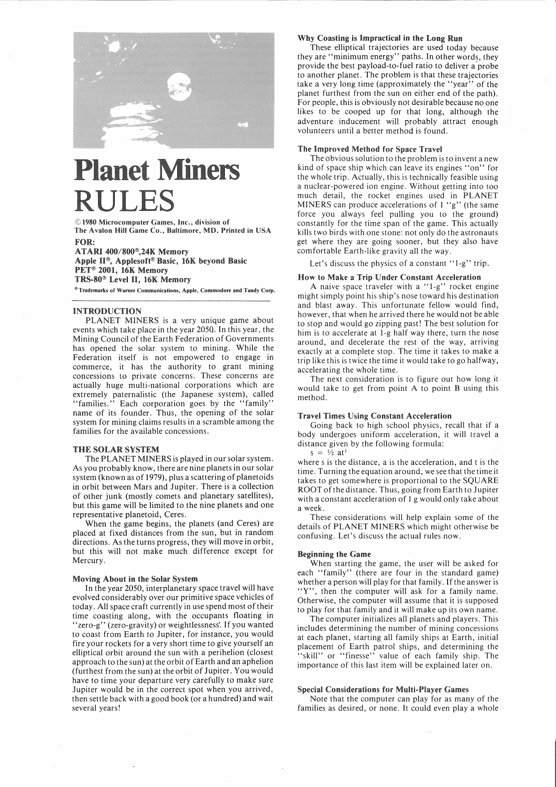

# **Planet Miners** RULE!

©1980 Microcomputer Games, Inc., division of The Avalon Hill Game Co., Baltimore, MD, Printed in USA FOR:

ATARI 400/800<sup>®</sup>,24K Memory Apple II<sup>®</sup>, Applesoft® Basic, 16K beyond Basic PET<sup>®</sup> 2001, 16K Memory TRS-80® Level II, 16K Memory

®Trademarks of Warner Communications, Apple, Commodore and Tandy Corp.

#### INTRODUCTION

PLANET MINERS is a very unique game about events which take place in the year 2050. Inthis year, the Mining Council of the Earth Federation of Governments has opened the solar system to mining. While the Federation itself is not empowered to engage in commerce, it has the authority to grant mining concessions to private concerns. These concerns are actually huge multi-national corporations which are extremely paternalistic (the Japanese system), called "families." Each corporation goes by the "family" name of its founder. Thus, the opening of the solar system for mining claims results in a scramble among the families for the available concessions.

## THE SOLAR SYSTEM

The PLANET MINERS is played in our solar system. As you probably know, there are nine planets in our solar system (known as of 1979), plus a scattering of planetoids in orbit between Mars and Jupiter. There is a collection of other junk (mostly comets and planetary satellites), but this game will be limited to the nine planets and one representative planetoid, Ceres.

When the game begins, the planets (and Ceres) are placed at fixed distances from the sun, but in random directions. As the turns progress, they will move in orbit, but this will not make much difference except for Mercury.

#### About in the Solar System

In the year 2050, interplanetary space travel will have evolved considerably over our primitive space vehicles of today. All space craft currently in use spend most of their time coasting along, with the occupants floating in "zero-g" (zero-gravity) or weightlessness'. If you wanted to coast from Earth to Jupiter, for instance, you would fire your rockets for a very short time to give yourself an elliptical orbit around the sun with a perihelion (closest approach to the sun) at the orbit of Earth and an aphelion (furthest from the sun) at the orbit of Jupiter. You would have to time your departure very carefully to make sure Jupiter would be in the correct spot when you arrived, then settle back with a good book (or a hundred) and walt several years!

#### Why Coasting is Impractical in the Long Run

These elliptical trajectories are used today because they are "minimum energy" paths. In other word§, they provide the best payload-to-fuel ratio to deliver a probe to another planet. The problem is that these trajectories take a very long time (approximately the "year" of the planet furthest from the sun on either end of the path). For people, this is obviously not desirable because no one likes to be cooped up for that long, although the adventure inducement will probably attract enough volunteers until a better method is found.

## The Improved Method for Space Travel

The obvious solution to the problem is to invent a new kind of space ship which can leave its engines "on" for the whole trip. Actually, this is technically feasible using a nuclear-powered ion engine. Without getting into too much detail, the rocket engines used in PLANET MINERS can produce accelerations of 1 "g" (the same force you always feel pulling you to the ground) constantly for the time span of the game. This actually kills two birds with one stone: not only do the astronauts get where they are going sooner, but they also have comfortable Earth-like gravity all the way.

Let's discuss the physics of a constant "1-g" trip.

#### How to Make a Trip Under Constant Acceleration

A naive space traveler with a "1-g" rocket engine might simply point his ship's nose toward his destination and blast away. This unfortunate fellow would find, however, that when he arrived there he would not be able to stop and would go zipping past!The best solution for him is to accelerate at I-g half way there, turn the nose around, and decelerate the rest of the way, arriving exactly at a complete stop. The time it takes to make a trip like this is twice the time it would take to go halfway, accelerating the whole time.

The next consideration is to figure out how long it would take to get from point A to point B using this method.

#### Travel Times Using Constant Acceleration

Going back to high school physics, recall that if a body undergoes uniform acceleration, it will travel a distance given by the following formula:  $s = \frac{1}{2}$  at<sup>2</sup>

where s is the distance, a is the acceleration, and t is the time. Turning the equation around, we see that the time it takes to get somewhere is proportional to the SQUARE ROOT of the distance. Thus, going from Earth to Jupiter with a constant acceleration of 1 g would only take about a week.

These considerations will help explain some of the details of PLANET MINERS which might otherwise be confusing. Let's discuss the actual rules now.

## Beginning the Game .

When starting the game, the user will be asked for each "family" (there are four in the standard game) whether a person will play for that family. If the answer is "Y", then the computer will ask for a family name. Otherwise, the computer will assume that it is supposed to play for that family and it will make up its own name.

The computer initializes all planets and players. This includes determining the number of mining concessions at each planet, starting all family ships at Earth, initial placement of Earth patrol ships, and determining the "skill" or "finesse" value of each family ship. The importance of this last item will be explained later on.

#### Special Considerations for Multi-Player Games

Note that the computer can play for as many of the families as desired, or none. It could even play a whole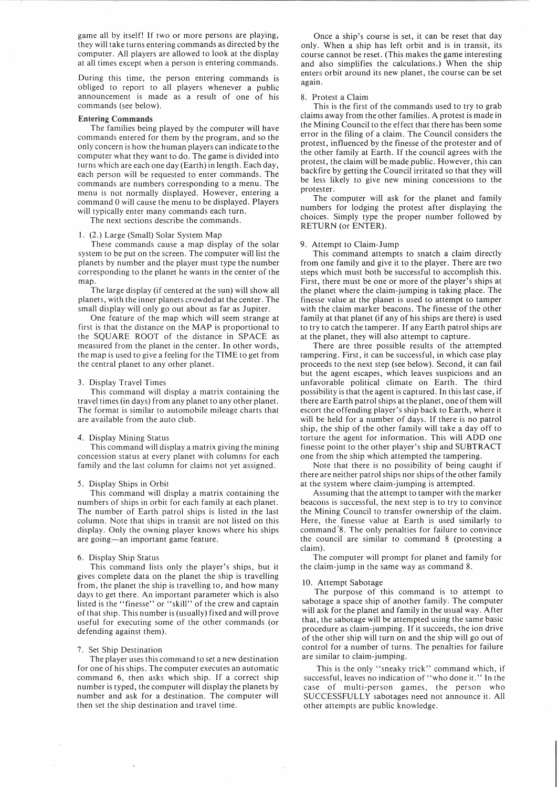game all by itself! If two or more persons are playing, they will take turns entering commands as directed by the computer. All players are allowed to look at the display at all times except when a person is entering commands.

During this time, the person entering commands is obliged to report to all players whenever a public announcement is made as a result of one of his commands (see below).

## **Entering Commands**

The families being played by the computer will have commands entered for them by the program, and so the only concern is how the human players can indicate to the computer what they want to do. The game is divided into turns which are each one day (Earth) in length. Each day, each person will be requested to enter commands. The commands are numbers corresponding to a menu. The menu is not normally displayed. However, entering a command 0 will cause the menu to be displayed. Players will typically enter many commands each turn.

The next sections describe the commands.

#### 1. (2.) Large (Small) Solar System Map

These commands cause a map display of the solar system to be put on the screen. The computer will list the planets by number and the player must type the number corresponding to the planet he wants in the center of the map.

The large display (if centered at the sun) will show all planets, with the inner planets crowded at the center. The small display will only go out about as far as Jupiter.

One feature of the map which will seem strange at first is that the distance on the MAP is proportional to the SQUARE ROOT of the distance in SPACE as measured from the planet in the center. In other words, the map is used to give a feeling for the TIME to get from the central planet to any other planet.

#### 3. Display Travel Times

This command will display a matrix containing the travel times (in days) from any planet to any other planet. The format is similar to automobile mileage charts that are available from the auto club.

#### 4. Display Mining Status

This command will display a matrix giving the mining concession status at every planet with columns for each family and the last column for claims not yet assigned.

#### 5. Display Ships in Orbit

This command will display a matrix containing the numbers of ships in orbit for each family at each planet. The number of Earth patrol ships is listed in the last column. Note that ships in transit are not listed on this display. Only the owning player knows where his ships are going-an important game feature.

#### 6. Display Ship Status

This command lists only the player's ships, but it gives complete data on the planet the ship is travelling from, the planet the ship is travelling to, and how many days to get there. An important parameter which is also listed is the "finesse" or "skill" of the crew and captain of that ship. This number is (usually) fixed and will prove useful for executing some of the other commands (or defending against them).

#### 7. Set Ship Destination

The player uses this command to set a new destination for one of his ships. The computer executes an automatic command 6, then asks which ship. If a correct ship number is typed, the computer will display the planets by number and ask for a destination. The computer will then set the ship destination and travel time.

Once a ship's course is set, it can be reset that day only. When a ship has left orbit and is in transit, its course cannot be reset. (This makes the game interesting and also simplifies the calculations.) When the ship enters orbit around its new planet, the course can be set again.

### 8. Protest a Claim

This is the first of the commands used to try to grab claims away from the other families. A protest is made in the Mining Council to the effect that there has been some error in the filing of a claim. The Council considers the protest, influenced by the finesse of the protester and of the other family at Earth. If the council agrees with the protest, the claim will be made public. However, this can backfire by getting the Council irritated so that they will be less likely to give new mining concessions to the protester.

The computer will ask for the planet and family numbers for lodging the protest after displaying the choices. Simply type the proper number followed by RETURN (or ENTER).

## 9. Attempt to Claim-Jump

This command attempts to snatch a claim directly from one family and give it to the player. There are two steps which must both be successful to accomplish this. First, there must be one or more of the player's ships at the planet where the claim-jumping is taking place. The finesse value at the planet is used to attempt to tamper with the claim marker beacons. The finesse of the other family at that planet (if any of his ships are there) is used to try to catch the tamperer. If any Earth patrol ships are at the planet, they will also attempt to capture.

There are three possible results of the attempted tampering. First, it can be successful, in which case play proceeds to the next step (see below). Second, it can fail but the agent escapes, which leaves suspicions and an unfavorable political climate on Earth. The third possibility is that the agent is captured. In this last case, if there are Earth patrol ships at the planet, one of them will escort the offending player's ship back to Earth, where it will be held for a number of days. If there is no patrol ship, the ship of the other family will take a day off to torture the agent for information. This will ADD one finesse point to the other player's ship and SUBTRACT one from the ship which attempted the tampering.

Note that there is no possibility of being caught if there are neither patrol ships nor ships of the other family at the system where claim-jumping is attempted.

Assuming that the attempt to tamper with the marker beacons is successful, the next step is to try to convince the Mining Council to transfer ownership of the claim. Here, the finesse value at Earth is used similarly to command /8. The only penalties for failure to convince the council are similar to command 8 (protesting a claim).

The computer will prompt for planet and family for the claim-jump in the same way as command 8.

#### 10. Attempt Sabotage

The purpose of this command is to attempt to sabotage a space ship of another family. The computer will ask for the planet and family in the usual way. After that, the sabotage will be attempted using the same basic procedure as claim-jumping. If it succeeds, the ion drive of the other ship will turn on and the ship will go out of control for a number of turns. The penalties for failure are similar to claim-jumping.

This is the only "sneaky trick" command which, if successful, leaves no indication of "who done it." In the case of multi-person games, the person who SUCCESSFULLY sabotages need not announce it. All other attempts are public knowledge.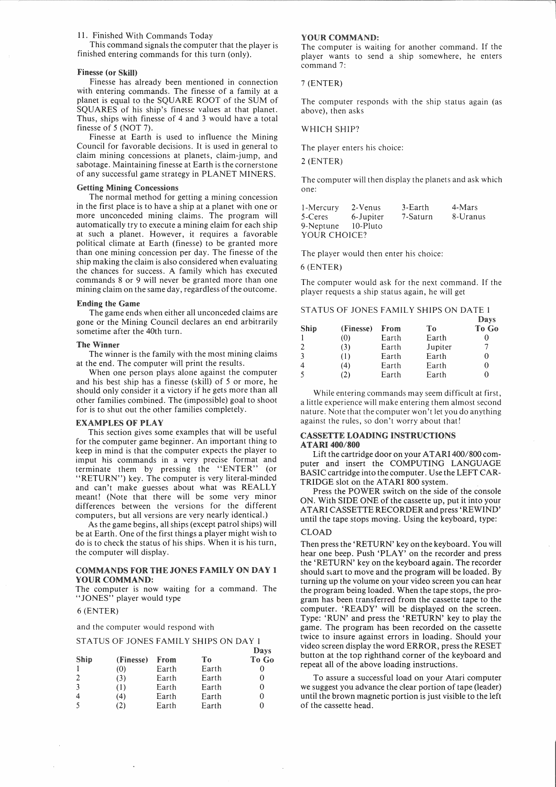## 11. Finished With Commands Today

This command signals the computer that the player is finished entering commands for this turn (only).

### Finesse (or Skill)

Finesse has already been mentioned in connection with entering commands. The finesse of a family at a planet is equal to the SQUARE ROOT of the SUM of SQUARES of his ship's finesse values at that planet. Thus, ships with finesse of 4 and 3 would have a total finesse of 5 (NOT 7).

Finesse at Earth is used to influence the Mining Council for favorable decisions. It is used in general to claim mining concessions at planets, claim-jump, and sabotage. Maintaining finesse at Earth is the cornerstone of any successful game strategy in PLANET MINERS.

## **Getting Mining Concessions**

The normal method for getting a mining concession in the first place is to have a ship at a planet with one or more unconceded mining claims. The program will automatically try to execute a mining claim for each ship at such a planet. However, it requires a favorable political climate at Earth (finesse) to be granted more than one mining concession per day. The finesse of the ship making the claim is also considered when evaluating the chances for success. A family which has executed commands 8 or 9 will never be granted more than one mining claim on the same day, regardless of the outcome.

#### **Ending the Game**

The game ends when either all unconceded claims are gone or the Mining Council declares an end arbitrarily sometime after the 40th turn.

### The Winner

The winner is the family with the most mining claims at the end. The computer will print the results.

When one person plays alone against the computer and his best ship has a finesse (skill) of 5 or more, he should only consider it a victory if he gets more than all other families combined. The (impossible) goal to shoot for is to shut out the other families completely.

### EXAMPLES OF PLAY

This section gives some examples that will be useful for the computer game beginner. An important thing to keep in mind is that the computer expects the player to imput his commands in a very precise format and terminate them by pressing the "ENTER" (or "RETURN") key. The computer is very literal-minded and can't make guesses about what was REALLY meant! (Note that there will be some very minor differences between the versions for the different computers, but all versions are very nearly identical.)

As the game begins, all ships (except patrol ships) will be at Earth. One of the first things a player might wish to do is to check the status of his ships. When it is his turn, the computer will display.

# COMMANDS FOR THE JONES FAMILY ON DAY 1 YOUR COMMAND:

The computer is now waiting for a command. The "JONES" player would type

## 6 (ENTER)

and the computer would respond with

## STATUS OF JONES FAMILY SHIPS ON DAY 1

|                  |           |       |       | Days  |
|------------------|-----------|-------|-------|-------|
| Ship             | (Finesse) | From  | To    | To Go |
|                  | (0)       | Earth | Earth |       |
| 2                | (3)       | Earth | Earth |       |
| -3               | (1)       | Earth | Earth |       |
| $\boldsymbol{4}$ | (4)       | Earth | Earth |       |
|                  | 2١)       | Earth | Earth |       |

#### **YOUR COMMAND:**

The computer is waiting for another command. If the player wants to send a ship somewhere, he enters command 7:

#### 7 (ENTER)

The computer responds with the ship status again (as above), then asks

# WHICH SHIP?

The player enters his choice:

2 (ENTER)

The computer will then display the planets and ask which one:

| 1-Mercury    | 2-Venus   | $3$ -Earth | 4-Mars   |
|--------------|-----------|------------|----------|
| 5-Ceres      | 6-Jupiter | 7-Saturn   | 8-Uranus |
| 9-Neptune    | 10-Pluto  |            |          |
| YOUR CHOICE? |           |            |          |

The player would then enter his choice:

#### 6 (ENTER)

The computer would ask for the next command. If the player requests a ship status again, he will get

#### STATUS OF JONES FAMILY SHIPS ON DATE 1

|                |           |       |         | Days  |
|----------------|-----------|-------|---------|-------|
| Ship           | (Finesse) | From  | Tо      | To Go |
|                | (0)       | Earth | Earth   |       |
| 2              | (3)       | Earth | Jupiter | 7     |
| 3              | (1)       | Earth | Earth   |       |
| $\overline{4}$ | (4)       | Earth | Earth   |       |
|                | (2)       | Earth | Earth   |       |

While entering commands may seem difficult at first, a little experience will make entering them almost second nature. Note that the computer won't let you do anything against the rules, so don't worry about that!

## CASSETTE LOADING INSTRUCTIONS **ATARI 400/800**

Lift the cartridge door on your ATARI 400/800 computer and insert the COMPUTING LANGUAGE BASIC cartridge into the computer. Use the LEFT CAR-TRIDGE slot on the ATARI 800 system.

Press the POWER switch on the side of the console ON. With SIDE ONE of the cassette up, put it into your ATARI CASSETTE RECORDER and press 'REWIND' until the tape stops moving. Using the keyboard, type:

#### CLOAD

Then press the 'RETURN' key on the keyboard. You will hear one beep. Push 'PLAY' on the recorder and press the 'RETURN' key on the keyboard again. The recorder should start to move and the program will be loaded. By turning up the volume on your video screen you can hear the program being loaded. When the tape stops, the program has been transferred from the cassette tape to the computer. 'READY' will be displayed on the screen. Type: 'RUN' and press the 'RETURN' key to play the game. The program has been recorded on the cassette twice to insure against errors in loading. Should your video screen display the word ERROR, press the RESET button at the top righthand corner of the keyboard and repeat all of the above loading instructions.

To assure a successful load on your Atari computer we suggest you advance the clear portion of tape (leader) until the brown magnetic portion is just visible to the left of the cassette head.